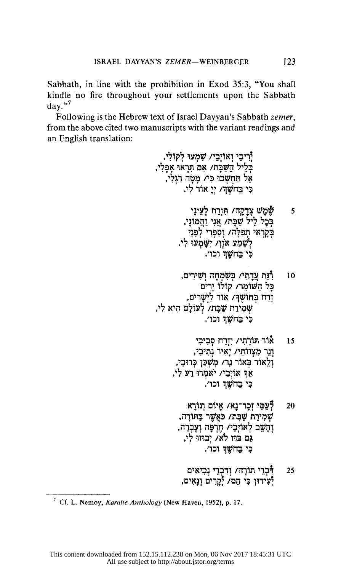Sabbath, in line with the prohibition in Exod 35:3, "You shall kindle no fire throughout your settlements upon the Sabbath  $\text{dav.}^{3,7}$ 

Following is the Hebrew text of Israel Dayyan's Sabbath zemer, from the above cited two manuscripts with the variant readings and an English translation:

> יִרִיבֵי וְאוֹיָבֵי/ שָׁמְעוּ לְקוֹלִי, בְּלֵיל הַשַּׁבָּת/ אִם חִּרְאוּ אָפְלִי, הְיָיִי שִׁבְּהָיִי אָבּיוֹאָת אֶדֶן<br>אַל תַּחְשְׁבוּ כִּי/ מָטָה רַגְלִי,<br>כִּי בַּחֹשֵׁךְּ/ יְיֵ אוֹר לִי. <mark>שֶׁמֶשׁ צְדָקָה/ תִּזְרַח לְעֵינָי</mark><br>בְּכָל לֵיל שַׁבָּת/ אֲנִי וַהֲמוֹנָי, 5 בְקַרָאִי תְפִלָּה/ וְסְפְרִי לְפָנָי לְשֶׁמַע אֹוֶן/ יִשָּׁמְעוֹ לִי. כי בחשו וכו׳. רְנַּת עֲדַתִי/ בִּשְׂמָחַה וְשָׁירִים, 10 כֵּל הַשׁוֹמֶר/ קוֹלוֹ יַרִים .<br>דְרַח בְּחוֹשֶׁךְּ/ אוֹר לַיְשָרִים שְמִירַת שַׁבָּת/ לְעוֹלַם הִיא לִי, כִּי בַּחֹשֶׁךְ וְכוֹ׳. אור תּוֹרַתִי/ יְזְרַח סְבִיבִי 15 וְנֵר מְצְווֹתַי/ יַאִיר נְתְיכִי, וְלֵאוֹר בְּאוֹר נֵר/ מְשָׁכַּן כְּרוּבִי, אַךְ אוֹיְבַי/ יֹאמְרוּ רַע לִי, כי בחשף וכו׳. לְּעַמִּי זְכָר־נָא/ אָיוֹם וְנוֹרָא 20 שָׁמִירַת שַׁבַּת/ כַּאֲשֶׁר בַּתּוֹרָה, וְהַשֵּׁב לְאוֹיְבַי/ חֶרְפָּה וְעֶבְרָה, גם בהז לא/ יבהה לי, כִּי בַחֹשֶׁךְ וכו׳.

> > רְּבְרֵי תוֹרָה/ וְדִבְרֵי נְבִיאִים<br>יְּעִידוּן כִּי הֵם/ יְקָרִים וְנָאִים, 25

<sup>&</sup>lt;sup>7</sup> Cf. L. Nemoy, Karaite Anthology (New Haven, 1952), p. 17.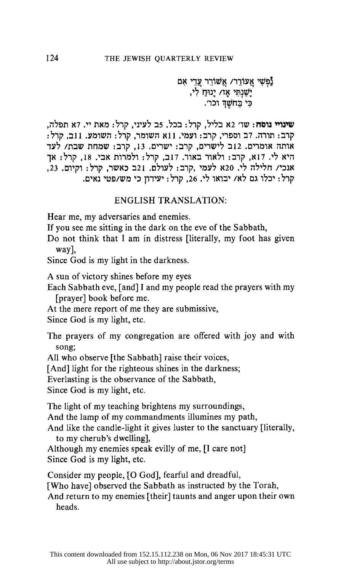נַפְשִׁי אֲעוֹרֶר/ אֲשׁוֹרֵר עֲדֵי אָם -<br>יָשַׁנְתִּי אָז/ יָנוּחַ לִי,<br>כִּי כַּחשֶׁךְ וכו׳.

שינויי נוסח: שו׳ 12 בליל, קרל: בכל. 5ב לעיני, קרל: מאת יי. 7א תפלה, קרב: תורה. דב וספרי, קרב: ועמי. 11א השומר, קרל: השומע. 11ב, קרל: .<br>אותה אומרים. 12ב לישרים, קרב: ישרים. 13, קרב: שמחת שבת/ לעד היא לי. 17א, קרב: ולאור באור. 17ב, קרל: ולמרות אבי. 18, קרל: אך אנכי/ חלילה לי. 20א לעמי ,קרב: לעולם. 21ב כאשר, קרל: וקיום. 23, קרל: יכלו גם לא/ יבואו לי. 26, קרל: יעידון כי מש/פטי גאים.

## **ENGLISH TRANSLATION:**

Hear me, my adversaries and enemies.

If you see me sitting in the dark on the eve of the Sabbath,

Do not think that I am in distress [literally, my foot has given way],

Since God is my light in the darkness.

A sun of victory shines before my eyes

Each Sabbath eve, [and] I and my people read the prayers with my [prayer] book before me.

At the mere report of me they are submissive,

Since God is my light, etc.

The prayers of my congregation are offered with joy and with song;

All who observe [the Sabbath] raise their voices,

[And] light for the righteous shines in the darkness;

Everlasting is the observance of the Sabbath,

Since God is my light, etc.

The light of my teaching brightens my surroundings,

And the lamp of my commandments illumines my path,

And like the candle-light it gives luster to the sanctuary [literally, to my cherub's dwelling],

Although my enemies speak evilly of me, [I care not] Since God is my light, etc.

Consider my people, [O God], fearful and dreadful,

[Who have] observed the Sabbath as instructed by the Torah,

And return to my enemies [their] taunts and anger upon their own heads.